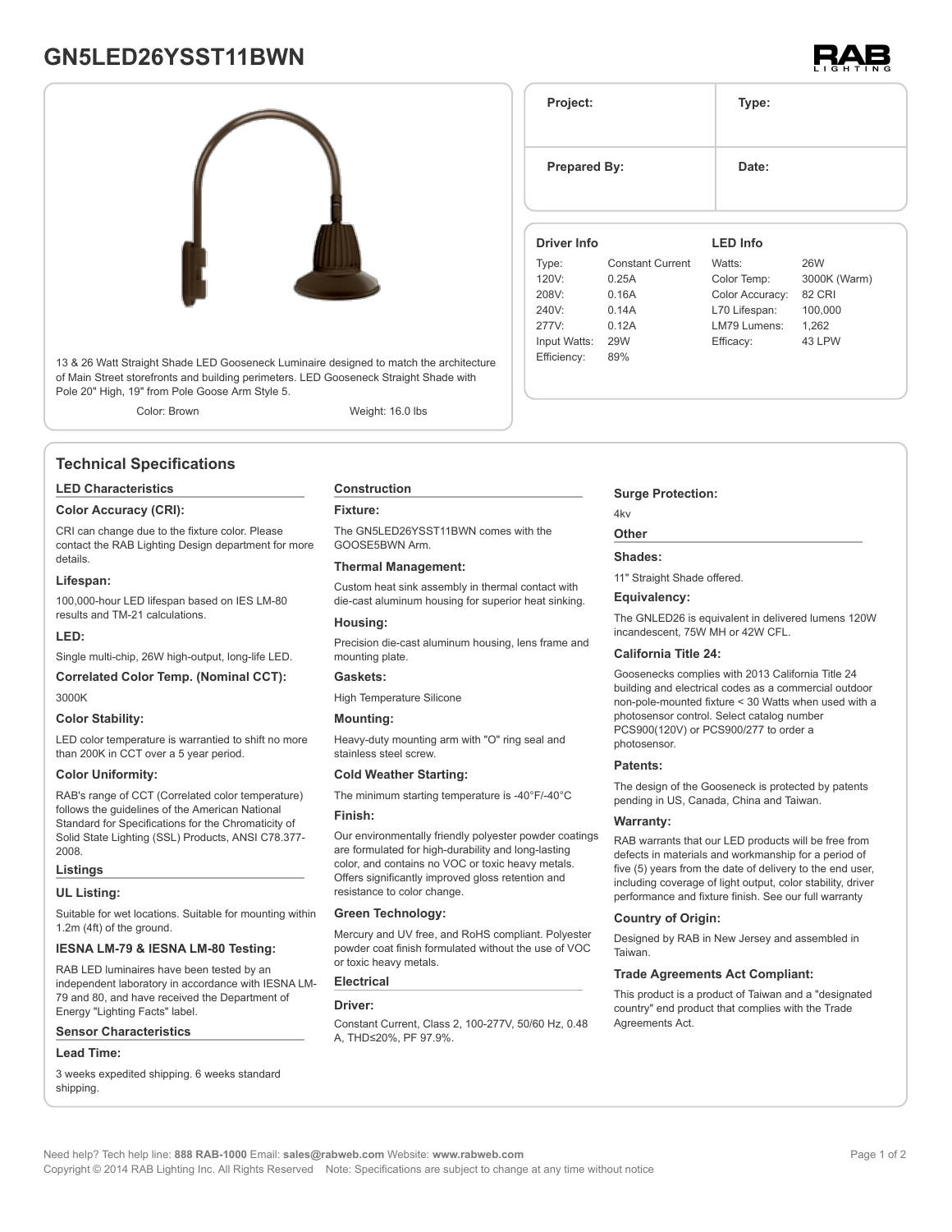# **GN5LED26YSST11BWN**



13 & 26 Watt Straight Shade LED Gooseneck Luminaire designed to match the architecture of Main Street storefronts and building perimeters. LED Gooseneck Straight Shade with Pole 20" High, 19" from Pole Goose Arm Style 5.

Color: Brown Weight: 16.0 lbs

# **Technical Specifications**

#### **LED Characteristics**

#### **Color Accuracy (CRI):**

CRI can change due to the fixture color. Please contact the RAB Lighting Design department for more details.

#### **Lifespan:**

100,000-hour LED lifespan based on IES LM-80 results and TM-21 calculations.

#### **LED:**

Single multi-chip, 26W high-output, long-life LED.

#### **Correlated Color Temp. (Nominal CCT):** 3000K

#### **Color Stability:**

LED color temperature is warrantied to shift no more than 200K in CCT over a 5 year period.

#### **Color Uniformity:**

RAB's range of CCT (Correlated color temperature) follows the guidelines of the American National Standard for Specifications for the Chromaticity of Solid State Lighting (SSL) Products, ANSI C78.377- 2008.

#### **Listings**

#### **UL Listing:**

Suitable for wet locations. Suitable for mounting within 1.2m (4ft) of the ground.

### **IESNA LM-79 & IESNA LM-80 Testing:**

RAB LED luminaires have been tested by an independent laboratory in accordance with IESNA LM-79 and 80, and have received the Department of Energy "Lighting Facts" label.

#### **Sensor Characteristics**

#### **Lead Time:**

3 weeks expedited shipping. 6 weeks standard shipping.

#### **Construction**

#### **Fixture:**

The GN5LED26YSST11BWN comes with the GOOSE5BWN Arm.

#### **Thermal Management:**

Custom heat sink assembly in thermal contact with die-cast aluminum housing for superior heat sinking.

#### **Housing:**

Precision die-cast aluminum housing, lens frame and mounting plate.

#### **Gaskets:**

High Temperature Silicone

#### **Mounting:**

Heavy-duty mounting arm with "O" ring seal and stainless steel screw.

#### **Cold Weather Starting:**

The minimum starting temperature is -40°F/-40°C

#### **Finish:**

Our environmentally friendly polyester powder coatings are formulated for high-durability and long-lasting color, and contains no VOC or toxic heavy metals. Offers significantly improved gloss retention and resistance to color change.

#### **Green Technology:**

Mercury and UV free, and RoHS compliant. Polyester powder coat finish formulated without the use of VOC or toxic heavy metals.

#### **Electrical**

#### **Driver:**

Constant Current, Class 2, 100-277V, 50/60 Hz, 0.48 A, THD≤20%, PF 97.9%.

# **Surge Protection:**

### 4kv

# **Other**

# **Shades:**

11" Straight Shade offered.

#### **Equivalency:**

The GNLED26 is equivalent in delivered lumens 120W incandescent, 75W MH or 42W CFL.

#### **California Title 24:**

Goosenecks complies with 2013 California Title 24 building and electrical codes as a commercial outdoor non-pole-mounted fixture < 30 Watts when used with a photosensor control. Select catalog number PCS900(120V) or PCS900/277 to order a photosensor.

#### **Patents:**

The design of the Gooseneck is protected by patents pending in US, Canada, China and Taiwan.

#### **Warranty:**

RAB warrants that our LED products will be free from defects in materials and workmanship for a period of five (5) years from the date of delivery to the end user, including coverage of light output, color stability, driver performance and fixture finish. See our full warranty

#### **Country of Origin:**

Designed by RAB in New Jersey and assembled in **Taiwan** 

#### **Trade Agreements Act Compliant:**

This product is a product of Taiwan and a "designated country" end product that complies with the Trade Agreements Act.



**Project: Type: Prepared By:** Date: **Driver Info** Type: Constant Current 120V: 0.25A 208V: 0.16A 240V: 0.14A 277V: 0.12A Input Watts: 29W Efficiency: 89% **LED Info** Watts: 26W Color Temp: 3000K (Warm) Color Accuracy: 82 CRI L70 Lifespan: 100,000 LM79 Lumens: 1,262 Efficacy: 43 LPW